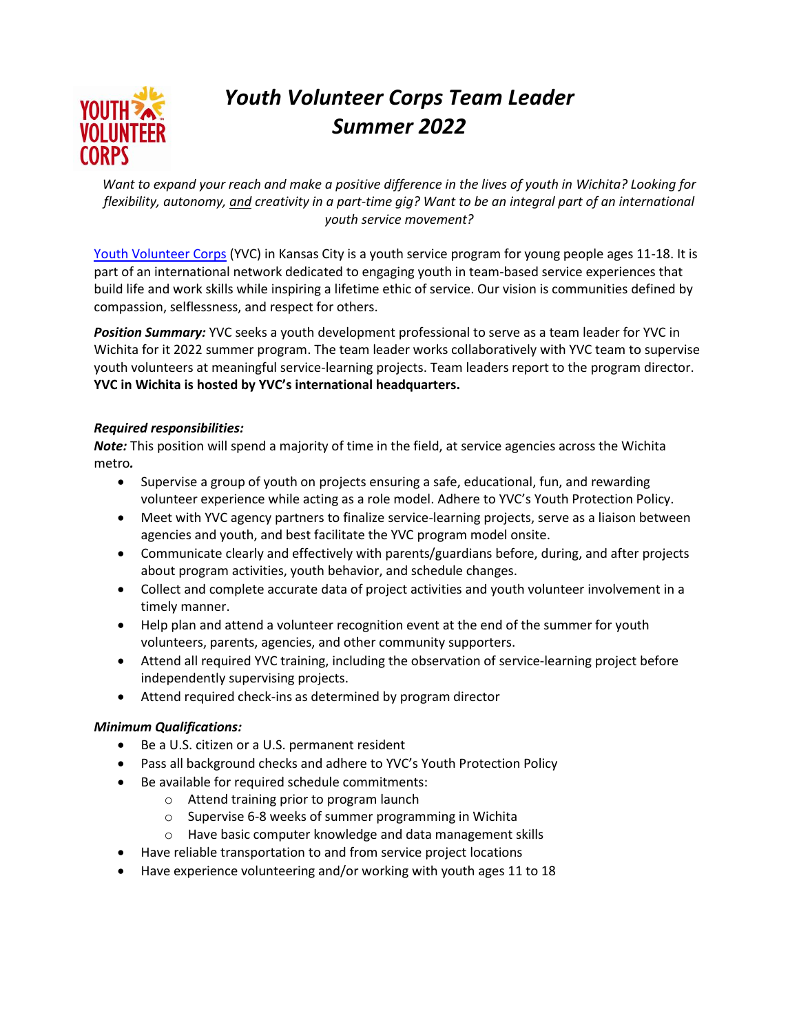

# *Youth Volunteer Corps Team Leader Summer 2022*

*Want to expand your reach and make a positive difference in the lives of youth in Wichita? Looking for flexibility, autonomy, and creativity in a part-time gig? Want to be an integral part of an international youth service movement?*

[Youth Volunteer Corps](http://www.yvckc.org/) (YVC) in Kansas City is a youth service program for young people ages 11-18. It is part of an international network dedicated to engaging youth in team-based service experiences that build life and work skills while inspiring a lifetime ethic of service. Our vision is communities defined by compassion, selflessness, and respect for others.

*Position Summary:* YVC seeks a youth development professional to serve as a team leader for YVC in Wichita for it 2022 summer program. The team leader works collaboratively with YVC team to supervise youth volunteers at meaningful service-learning projects. Team leaders report to the program director. **YVC in Wichita is hosted by YVC's international headquarters.** 

### *Required responsibilities:*

*Note:* This position will spend a majority of time in the field, at service agencies across the Wichita metro*.*

- Supervise a group of youth on projects ensuring a safe, educational, fun, and rewarding volunteer experience while acting as a role model. Adhere to YVC's Youth Protection Policy.
- Meet with YVC agency partners to finalize service-learning projects, serve as a liaison between agencies and youth, and best facilitate the YVC program model onsite.
- Communicate clearly and effectively with parents/guardians before, during, and after projects about program activities, youth behavior, and schedule changes.
- Collect and complete accurate data of project activities and youth volunteer involvement in a timely manner.
- Help plan and attend a volunteer recognition event at the end of the summer for youth volunteers, parents, agencies, and other community supporters.
- Attend all required YVC training, including the observation of service-learning project before independently supervising projects.
- Attend required check-ins as determined by program director

## *Minimum Qualifications:*

- Be a U.S. citizen or a U.S. permanent resident
- Pass all background checks and adhere to YVC's Youth Protection Policy
- Be available for required schedule commitments:
	- o Attend training prior to program launch
	- o Supervise 6-8 weeks of summer programming in Wichita
	- o Have basic computer knowledge and data management skills
- Have reliable transportation to and from service project locations
- Have experience volunteering and/or working with youth ages 11 to 18